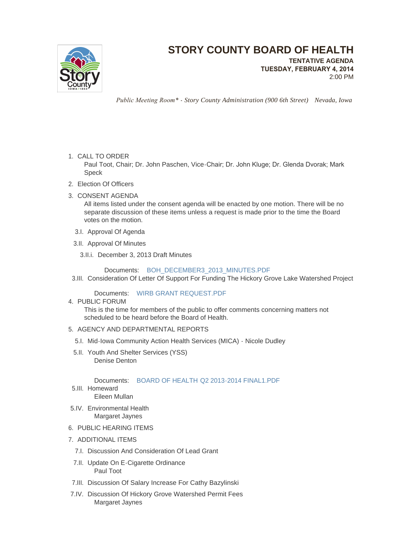

## **STORY COUNTY BOARD OF HEALTH**

**TENTATIVE AGENDA TUESDAY, FEBRUARY 4, 2014** 2:00 PM

 *Public Meeting Room\* - Story County Administration (900 6th Street) Nevada, Iowa*

1. CALL TO ORDER

Paul Toot, Chair; Dr. John Paschen, Vice-Chair; Dr. John Kluge; Dr. Glenda Dvorak; Mark Speck

- Election Of Officers 2.
- 3. CONSENT AGENDA

All items listed under the consent agenda will be enacted by one motion. There will be no separate discussion of these items unless a request is made prior to the time the Board votes on the motion.

- 3.I. Approval Of Agenda
- 3.II. Approval Of Minutes
	- 3.II.i. December 3, 2013 Draft Minutes

Documents: [BOH\\_DECEMBER3\\_2013\\_MINUTES.PDF](http://www.storycountyiowa.gov/AgendaCenter/ViewFile/Item/2770?fileID=2048)

3.III. Consideration Of Letter Of Support For Funding The Hickory Grove Lake Watershed Project

Documents: [WIRB GRANT REQUEST.PDF](http://www.storycountyiowa.gov/AgendaCenter/ViewFile/Item/2802?fileID=2093)

4. PUBLIC FORUM

This is the time for members of the public to offer comments concerning matters not scheduled to be heard before the Board of Health.

- 5. AGENCY AND DEPARTMENTAL REPORTS
	- 5.I. Mid-Iowa Community Action Health Services (MICA) Nicole Dudley
	- 5.II. Youth And Shelter Services (YSS) Denise Denton

Documents: [BOARD OF HEALTH Q2 2013-2014 FINAL1.PDF](http://www.storycountyiowa.gov/AgendaCenter/ViewFile/Item/1308?fileID=2098)

- 5.III. Homeward Eileen Mullan
- 5.IV. Environmental Health Margaret Jaynes
- 6. PUBLIC HEARING ITEMS
- 7. ADDITIONAL ITEMS
	- 7.I. Discussion And Consideration Of Lead Grant
- 7.II. Update On E-Cigarette Ordinance Paul Toot
- 7.III. Discussion Of Salary Increase For Cathy Bazylinski
- 7.IV. Discussion Of Hickory Grove Watershed Permit Fees Margaret Jaynes